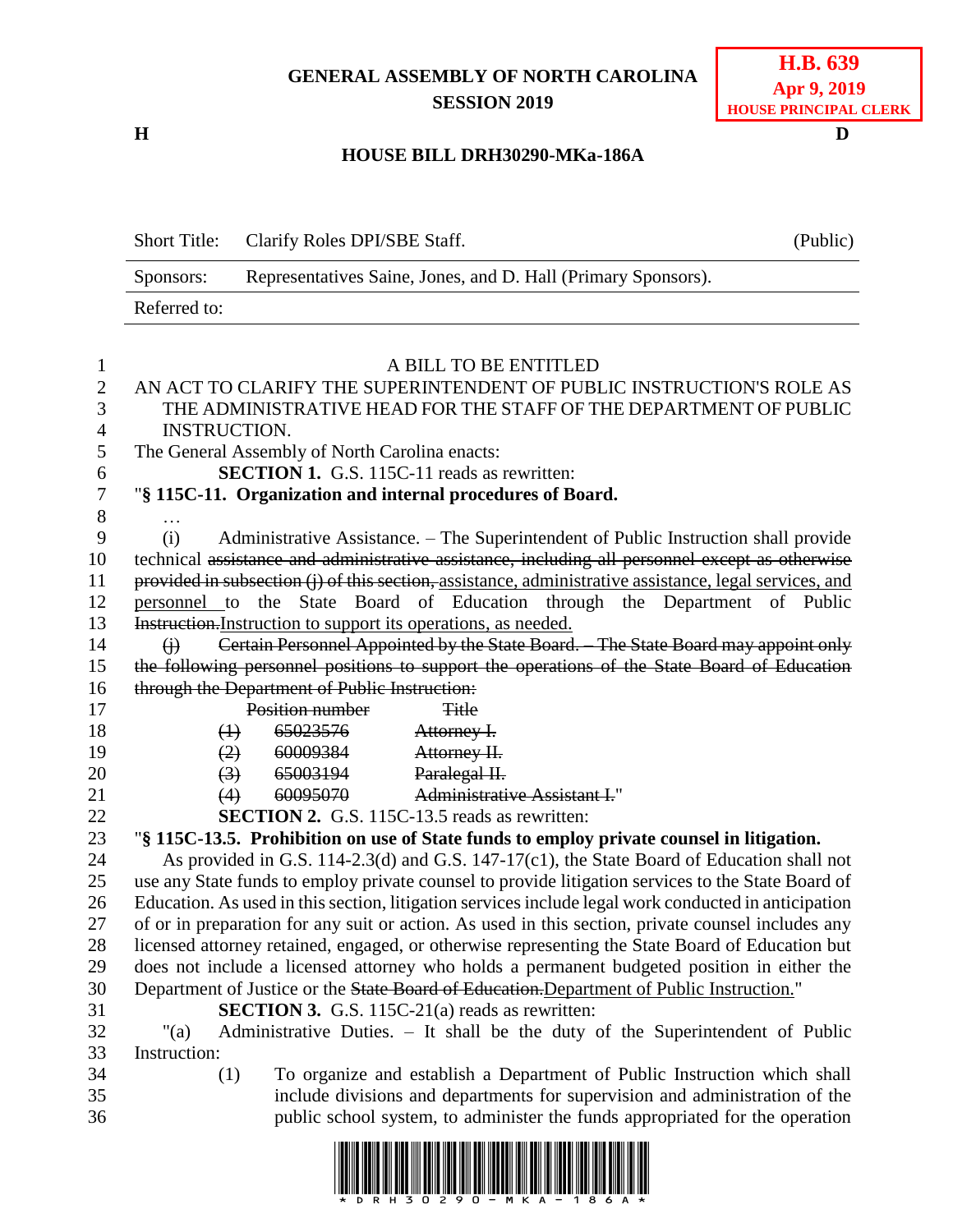## **GENERAL ASSEMBLY OF NORTH CAROLINA SESSION 2019**

**H D**

## **HOUSE BILL DRH30290-MKa-186A**

|              | Short Title: Clarify Roles DPI/SBE Staff.                     | (Public) |
|--------------|---------------------------------------------------------------|----------|
| Sponsors:    | Representatives Saine, Jones, and D. Hall (Primary Sponsors). |          |
| Referred to: |                                                               |          |
|              |                                                               |          |

| $\mathbf{1}$     | A BILL TO BE ENTITLED                                                                                  |  |  |  |  |  |  |
|------------------|--------------------------------------------------------------------------------------------------------|--|--|--|--|--|--|
| $\overline{2}$   | AN ACT TO CLARIFY THE SUPERINTENDENT OF PUBLIC INSTRUCTION'S ROLE AS                                   |  |  |  |  |  |  |
| 3                | THE ADMINISTRATIVE HEAD FOR THE STAFF OF THE DEPARTMENT OF PUBLIC                                      |  |  |  |  |  |  |
| $\overline{4}$   | <b>INSTRUCTION.</b>                                                                                    |  |  |  |  |  |  |
| 5                | The General Assembly of North Carolina enacts:                                                         |  |  |  |  |  |  |
| 6                | <b>SECTION 1.</b> G.S. 115C-11 reads as rewritten:                                                     |  |  |  |  |  |  |
| $\boldsymbol{7}$ | "§ 115C-11. Organization and internal procedures of Board.                                             |  |  |  |  |  |  |
| $8\,$            |                                                                                                        |  |  |  |  |  |  |
| 9                | (i)<br>Administrative Assistance. – The Superintendent of Public Instruction shall provide             |  |  |  |  |  |  |
| 10               | technical assistance and administrative assistance, including all personnel except as otherwise        |  |  |  |  |  |  |
| 11               | provided in subsection (j) of this section, assistance, administrative assistance, legal services, and |  |  |  |  |  |  |
| 12               | personnel to the State Board of Education through the Department of Public                             |  |  |  |  |  |  |
| 13               | Instruction. Instruction to support its operations, as needed.                                         |  |  |  |  |  |  |
| 14               | Certain Personnel Appointed by the State Board. The State Board may appoint only<br>$\Theta$           |  |  |  |  |  |  |
| 15               | the following personnel positions to support the operations of the State Board of Education            |  |  |  |  |  |  |
| 16               | through the Department of Public Instruction:                                                          |  |  |  |  |  |  |
| 17               | Position number<br><b>Title</b>                                                                        |  |  |  |  |  |  |
| 18               | 65023576<br>Attorney I.<br>$\bigoplus$                                                                 |  |  |  |  |  |  |
| 19               | 60009384<br>(2)<br>Attorney II.                                                                        |  |  |  |  |  |  |
| 20               | Paralegal II.<br>$\left(3\right)$<br>65003194                                                          |  |  |  |  |  |  |
| 21               | <b>Administrative Assistant I."</b><br><del>60095070</del><br>(4)                                      |  |  |  |  |  |  |
| 22               | <b>SECTION 2.</b> G.S. 115C-13.5 reads as rewritten:                                                   |  |  |  |  |  |  |
| 23               | "§ 115C-13.5. Prohibition on use of State funds to employ private counsel in litigation.               |  |  |  |  |  |  |
| 24               | As provided in G.S. 114-2.3(d) and G.S. 147-17(c1), the State Board of Education shall not             |  |  |  |  |  |  |
| 25               | use any State funds to employ private counsel to provide litigation services to the State Board of     |  |  |  |  |  |  |
| 26               | Education. As used in this section, litigation services include legal work conducted in anticipation   |  |  |  |  |  |  |
| 27               | of or in preparation for any suit or action. As used in this section, private counsel includes any     |  |  |  |  |  |  |
| 28               | licensed attorney retained, engaged, or otherwise representing the State Board of Education but        |  |  |  |  |  |  |
| 29               | does not include a licensed attorney who holds a permanent budgeted position in either the             |  |  |  |  |  |  |
| 30               | Department of Justice or the State Board of Education. Department of Public Instruction."              |  |  |  |  |  |  |
| 31               | <b>SECTION 3.</b> G.S. 115C-21(a) reads as rewritten:                                                  |  |  |  |  |  |  |
| 32               | Administrative Duties. - It shall be the duty of the Superintendent of Public<br>" $(a)$               |  |  |  |  |  |  |
| 33               | Instruction:                                                                                           |  |  |  |  |  |  |
| 34               | To organize and establish a Department of Public Instruction which shall<br>(1)                        |  |  |  |  |  |  |
| 35               | include divisions and departments for supervision and administration of the                            |  |  |  |  |  |  |
| 36               | public school system, to administer the funds appropriated for the operation                           |  |  |  |  |  |  |